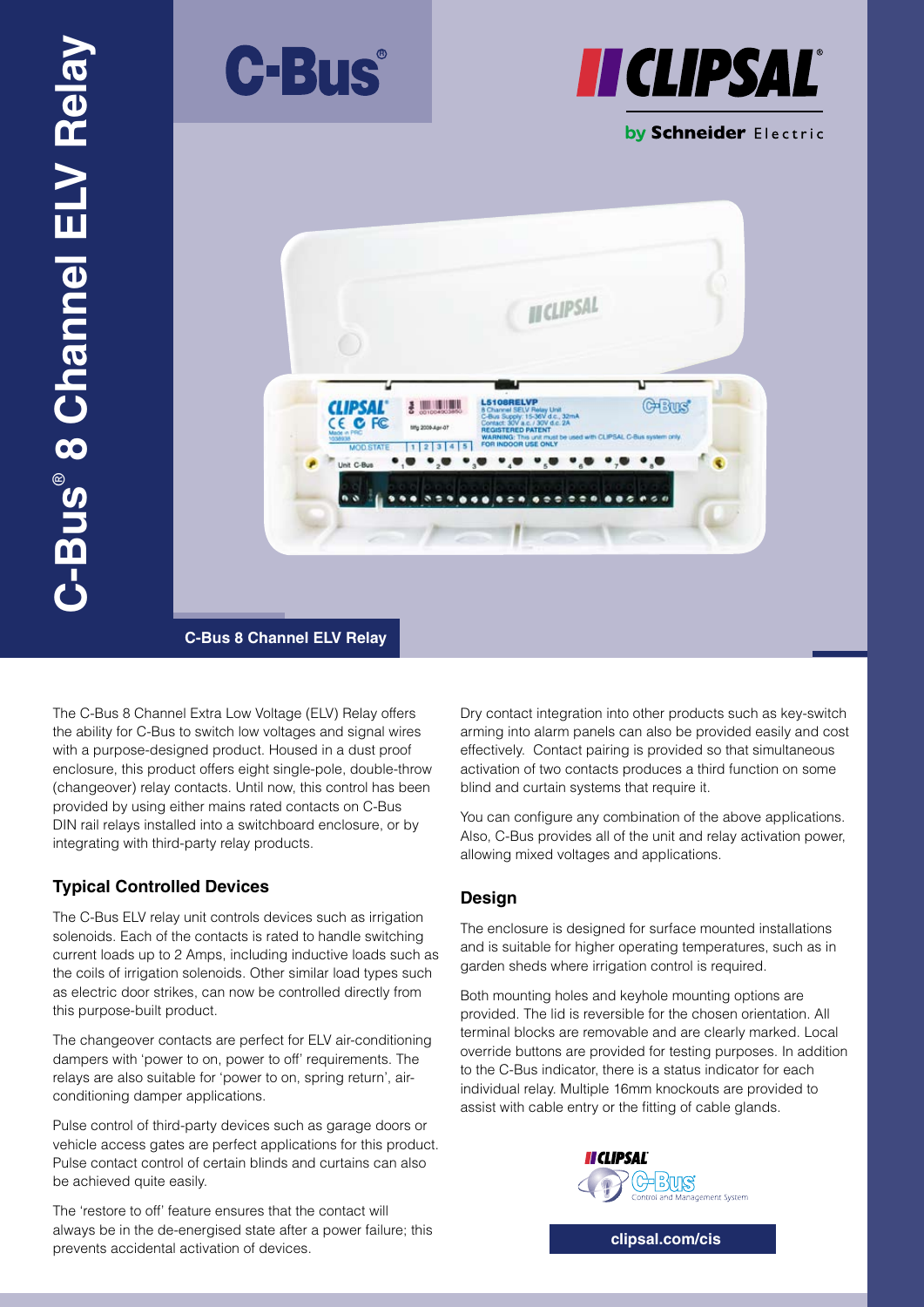



by Schneider Electric



**C-Bus 8 Channel ELV Relay**

The C-Bus 8 Channel Extra Low Voltage (ELV) Relay offers the ability for C-Bus to switch low voltages and signal wires with a purpose-designed product. Housed in a dust proof enclosure, this product offers eight single-pole, double-throw (changeover) relay contacts. Until now, this control has been provided by using either mains rated contacts on C-Bus DIN rail relays installed into a switchboard enclosure, or by integrating with third-party relay products.

## **Typical Controlled Devices**

The C-Bus ELV relay unit controls devices such as irrigation solenoids. Each of the contacts is rated to handle switching current loads up to 2 Amps, including inductive loads such as the coils of irrigation solenoids. Other similar load types such as electric door strikes, can now be controlled directly from this purpose-built product.

The changeover contacts are perfect for ELV air-conditioning dampers with 'power to on, power to off' requirements. The relays are also suitable for 'power to on, spring return', airconditioning damper applications.

Pulse control of third-party devices such as garage doors or vehicle access gates are perfect applications for this product. Pulse contact control of certain blinds and curtains can also be achieved quite easily.

The 'restore to off' feature ensures that the contact will always be in the de-energised state after a power failure; this prevents accidental activation of devices.

Dry contact integration into other products such as key-switch arming into alarm panels can also be provided easily and cost effectively. Contact pairing is provided so that simultaneous activation of two contacts produces a third function on some blind and curtain systems that require it.

You can configure any combination of the above applications. Also, C-Bus provides all of the unit and relay activation power, allowing mixed voltages and applications.

## **Design**

The enclosure is designed for surface mounted installations and is suitable for higher operating temperatures, such as in garden sheds where irrigation control is required.

Both mounting holes and keyhole mounting options are provided. The lid is reversible for the chosen orientation. All terminal blocks are removable and are clearly marked. Local override buttons are provided for testing purposes. In addition to the C-Bus indicator, there is a status indicator for each individual relay. Multiple 16mm knockouts are provided to assist with cable entry or the fitting of cable glands.



**clipsal.com/cis**